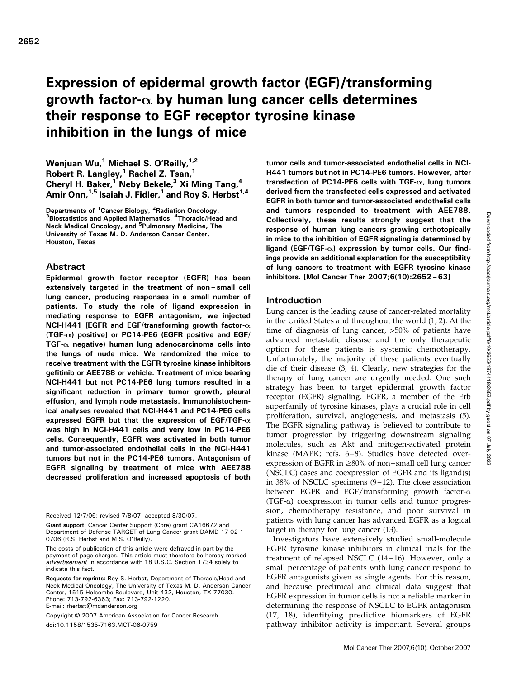# Expression of epidermal growth factor (EGF)/transforming growth factor- $\alpha$  by human lung cancer cells determines their response to EGF receptor tyrosine kinase inhibition in the lungs of mice

Wenjuan Wu,<sup>1</sup> Michael S. O'Reilly,  $1/2$ Robert R. Langley, $1$  Rachel Z. Tsan, $1$ Cheryl H. Baker,<sup>1</sup> Neby Bekele,<sup>3</sup> Xi Ming Tang,<sup>4</sup> Amir Onn,  $1.5$  Isaiah J. Fidler,  $1$  and Roy S. Herbst  $1.4$ 

Departments of <sup>1</sup> Cancer Biology, <sup>2</sup> Departments of <sup>1</sup>Cancer Biology, <sup>2</sup>Radiation Oncology,<br><sup>3</sup>Biostatistics and Applied Mathematics, <sup>4</sup>Thoracic/Head and Neck Medical Oncology, and <sup>5</sup>Pulmonary Medicine, The University of Texas M. D. Anderson Cancer Center, Houston, Texas

## Abstract

Epidermal growth factor receptor (EGFR) has been extensively targeted in the treatment of non–small cell lung cancer, producing responses in a small number of patients. To study the role of ligand expression in mediating response to EGFR antagonism, we injected NCI-H441 [EGFR and EGF/transforming growth factor- $\alpha$ (TGF- $\alpha$ ) positive] or PC14-PE6 (EGFR positive and EGF/ TGF- $\alpha$  negative) human lung adenocarcinoma cells into the lungs of nude mice. We randomized the mice to receive treatment with the EGFR tyrosine kinase inhibitors gefitinib or AEE788 or vehicle. Treatment of mice bearing NCI-H441 but not PC14-PE6 lung tumors resulted in a significant reduction in primary tumor growth, pleural effusion, and lymph node metastasis. Immunohistochemical analyses revealed that NCI-H441 and PC14-PE6 cells expressed EGFR but that the expression of EGF/TGF- $\alpha$ was high in NCI-H441 cells and very low in PC14-PE6 cells. Consequently, EGFR was activated in both tumor and tumor-associated endothelial cells in the NCI-H441 tumors but not in the PC14-PE6 tumors. Antagonism of EGFR signaling by treatment of mice with AEE788 decreased proliferation and increased apoptosis of both

Copyright © 2007 American Association for Cancer Research. doi:10.1158/1535-7163.MCT-06-0759

tumor cells and tumor-associated endothelial cells in NCI-H441 tumors but not in PC14-PE6 tumors. However, after transfection of PC14-PE6 cells with TGF- $\alpha$ , lung tumors derived from the transfected cells expressed and activated EGFR in both tumor and tumor-associated endothelial cells and tumors responded to treatment with AEE788. Collectively, these results strongly suggest that the response of human lung cancers growing orthotopically in mice to the inhibition of EGFR signaling is determined by ligand (EGF/TGF- $\alpha$ ) expression by tumor cells. Our findings provide an additional explanation for the susceptibility of lung cancers to treatment with EGFR tyrosine kinase inhibitors. [Mol Cancer Ther 2007;6(10):2652–63]

#### Introduction

Lung cancer is the leading cause of cancer-related mortality in the United States and throughout the world (1, 2). At the time of diagnosis of lung cancer, >50% of patients have advanced metastatic disease and the only therapeutic option for these patients is systemic chemotherapy. Unfortunately, the majority of these patients eventually die of their disease (3, 4). Clearly, new strategies for the therapy of lung cancer are urgently needed. One such strategy has been to target epidermal growth factor receptor (EGFR) signaling. EGFR, a member of the Erb superfamily of tyrosine kinases, plays a crucial role in cell proliferation, survival, angiogenesis, and metastasis (5). The EGFR signaling pathway is believed to contribute to tumor progression by triggering downstream signaling molecules, such as Akt and mitogen-activated protein kinase (MAPK; refs. 6-8). Studies have detected overexpression of EGFR in  $\geq$ 80% of non-small cell lung cancer (NSCLC) cases and coexpression of EGFR and its ligand(s) in 38% of NSCLC specimens  $(9-12)$ . The close association between EGFR and EGF/transforming growth factor- $\alpha$  $(TGF- $\alpha$ ) coexpression in tumor cells and tumor progress$ sion, chemotherapy resistance, and poor survival in patients with lung cancer has advanced EGFR as a logical target in therapy for lung cancer (13).

Investigators have extensively studied small-molecule EGFR tyrosine kinase inhibitors in clinical trials for the treatment of relapsed NSCLC (14–16). However, only a small percentage of patients with lung cancer respond to EGFR antagonists given as single agents. For this reason, and because preclinical and clinical data suggest that EGFR expression in tumor cells is not a reliable marker in determining the response of NSCLC to EGFR antagonism (17, 18), identifying predictive biomarkers of EGFR pathway inhibitor activity is important. Several groups

Received 12/7/06; revised 7/8/07; accepted 8/30/07.

Grant support: Cancer Center Support (Core) grant CA16672 and Department of Defense TARGET of Lung Cancer grant DAMD 17-02-1- 0706 (R.S. Herbst and M.S. O'Reilly).

The costs of publication of this article were defrayed in part by the payment of page charges. This article must therefore be hereby marked advertisement in accordance with 18 U.S.C. Section 1734 solely to indicate this fact.

Requests for reprints: Roy S. Herbst, Department of Thoracic/Head and Neck Medical Oncology, The University of Texas M. D. Anderson Cancer Center, 1515 Holcombe Boulevard, Unit 432, Houston, TX 77030. Phone: 713-792-6363; Fax: 713-792-1220. E-mail: rherbst@mdanderson.org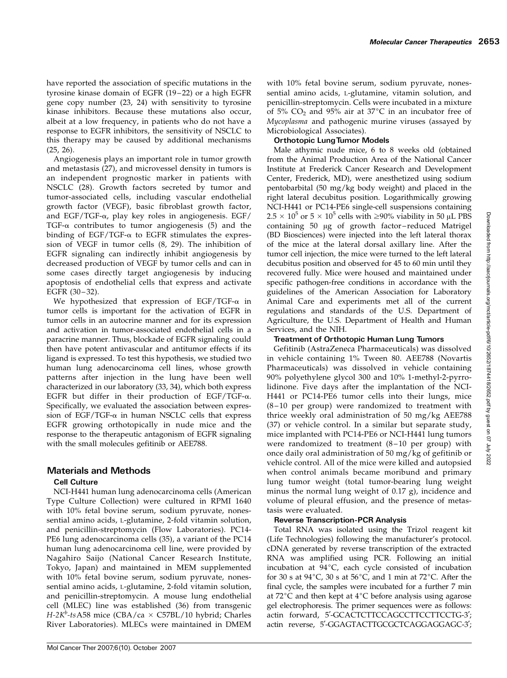have reported the association of specific mutations in the tyrosine kinase domain of EGFR (19-22) or a high EGFR gene copy number (23, 24) with sensitivity to tyrosine kinase inhibitors. Because these mutations also occur, albeit at a low frequency, in patients who do not have a response to EGFR inhibitors, the sensitivity of NSCLC to this therapy may be caused by additional mechanisms (25, 26).

Angiogenesis plays an important role in tumor growth and metastasis (27), and microvessel density in tumors is an independent prognostic marker in patients with NSCLC (28). Growth factors secreted by tumor and tumor-associated cells, including vascular endothelial growth factor (VEGF), basic fibroblast growth factor, and EGF/TGF- $\alpha$ , play key roles in angiogenesis. EGF/ TGF- $\alpha$  contributes to tumor angiogenesis (5) and the binding of EGF/TGF- $\alpha$  to EGFR stimulates the expression of VEGF in tumor cells (8, 29). The inhibition of EGFR signaling can indirectly inhibit angiogenesis by decreased production of VEGF by tumor cells and can in some cases directly target angiogenesis by inducing apoptosis of endothelial cells that express and activate EGFR  $(30-32)$ .

We hypothesized that expression of EGF/TGF- $\alpha$  in tumor cells is important for the activation of EGFR in tumor cells in an autocrine manner and for its expression and activation in tumor-associated endothelial cells in a paracrine manner. Thus, blockade of EGFR signaling could then have potent antivascular and antitumor effects if its ligand is expressed. To test this hypothesis, we studied two human lung adenocarcinoma cell lines, whose growth patterns after injection in the lung have been well characterized in our laboratory (33, 34), which both express EGFR but differ in their production of EGF/TGF- $\alpha$ . Specifically, we evaluated the association between expression of EGF/TGF- $\alpha$  in human NSCLC cells that express EGFR growing orthotopically in nude mice and the response to the therapeutic antagonism of EGFR signaling with the small molecules gefitinib or AEE788.

## Materials and Methods

#### Cell Culture

NCI-H441 human lung adenocarcinoma cells (American Type Culture Collection) were cultured in RPMI 1640 with 10% fetal bovine serum, sodium pyruvate, nonessential amino acids, L-glutamine, 2-fold vitamin solution, and penicillin-streptomycin (Flow Laboratories). PC14- PE6 lung adenocarcinoma cells (35), a variant of the PC14 human lung adenocarcinoma cell line, were provided by Nagahiro Saijo (National Cancer Research Institute, Tokyo, Japan) and maintained in MEM supplemented with 10% fetal bovine serum, sodium pyruvate, nonessential amino acids, L-glutamine, 2-fold vitamin solution, and penicillin-streptomycin. A mouse lung endothelial cell (MLEC) line was established (36) from transgenic  $H$ -2K<sup>b</sup>-tsA58 mice (CBA/ca  $\times$  C57BL/10 hybrid; Charles River Laboratories). MLECs were maintained in DMEM

with 10% fetal bovine serum, sodium pyruvate, nonessential amino acids, L-glutamine, vitamin solution, and penicillin-streptomycin. Cells were incubated in a mixture of  $5\%$  CO<sub>2</sub> and  $95\%$  air at  $37^{\circ}$ C in an incubator free of Mycoplasma and pathogenic murine viruses (assayed by Microbiological Associates).

#### Orthotopic LungTumor Models

Male athymic nude mice, 6 to 8 weeks old (obtained from the Animal Production Area of the National Cancer Institute at Frederick Cancer Research and Development Center, Frederick, MD), were anesthetized using sodium pentobarbital (50mg/kg body weight) and placed in the right lateral decubitus position. Logarithmically growing NCI-H441 or PC14-PE6 single-cell suspensions containing  $2.5 \times 10^5$  or  $5 \times 10^5$  cells with  $\geq 90\%$  viability in 50 µL PBS containing 50 µg of growth factor-reduced Matrigel (BD Biosciences) were injected into the left lateral thorax of the mice at the lateral dorsal axillary line. After the tumor cell injection, the mice were turned to the left lateral decubitus position and observed for 45 to 60 min until they recovered fully. Mice were housed and maintained under specific pathogen-free conditions in accordance with the guidelines of the American Association for Laboratory Animal Care and experiments met all of the current regulations and standards of the U.S. Department of Agriculture, the U.S. Department of Health and Human Services, and the NIH.

#### Treatment of Orthotopic Human Lung Tumors

Gefitinib (AstraZeneca Pharmaceuticals) was dissolved in vehicle containing 1% Tween 80. AEE788 (Novartis Pharmaceuticals) was dissolved in vehicle containing 90% polyethylene glycol 300 and 10% 1-methyl-2-pyrrolidinone. Five days after the implantation of the NCI-H441 or PC14-PE6 tumor cells into their lungs, mice  $(8-10$  per group) were randomized to treatment with thrice weekly oral administration of 50mg/kg AEE788 (37) or vehicle control. In a similar but separate study, mice implanted with PC14-PE6 or NCI-H441 lung tumors were randomized to treatment  $(8-10$  per group) with once daily oral administration of 50mg/kg of gefitinib or vehicle control. All of the mice were killed and autopsied when control animals became moribund and primary lung tumor weight (total tumor-bearing lung weight minus the normal lung weight of 0.17 g), incidence and volume of pleural effusion, and the presence of metastasis were evaluated.

## Reverse Transcription-PCR Analysis

Total RNA was isolated using the Trizol reagent kit (Life Technologies) following the manufacturer's protocol. cDNA generated by reverse transcription of the extracted RNA was amplified using PCR. Following an initial incubation at  $94^{\circ}$ C, each cycle consisted of incubation for 30 s at  $94^{\circ}$ C, 30 s at  $56^{\circ}$ C, and 1 min at  $72^{\circ}$ C. After the final cycle, the samples were incubated for a further 7 min at  $72^{\circ}$ C and then kept at  $4^{\circ}$ C before analysis using agarose gel electrophoresis. The primer sequences were as follows: actin forward, 5'-GCACTCTTCCAGCCTTCCTTCCTG-3'; actin reverse, 5'-GGAGTACTTGCGCTCAGGAGGAGC-3';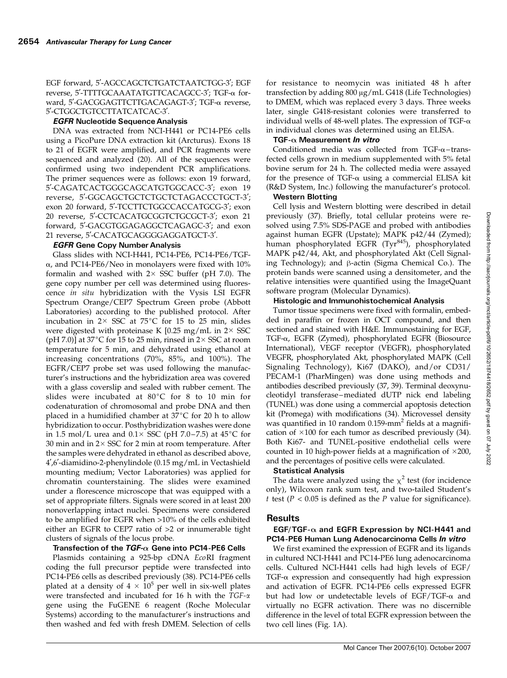EGF forward, 5'-AGCCAGCTCTGATCTAATCTGG-3'; EGF reverse, 5'-TTTTGCAAATATGTTCACAGCC-3'; TGF-α forward, 5'-GACGGAGTTCTTGACAGAGT-3'; TGF-α reverse, 5'-CTGGCTGTCCTTATCATCAC-3'.

#### EGFR Nucleotide Sequence Analysis

DNA was extracted from NCI-H441 or PC14-PE6 cells using a PicoPure DNA extraction kit (Arcturus). Exons 18 to 21 of EGFR were amplified, and PCR fragments were sequenced and analyzed (20). All of the sequences were confirmed using two independent PCR amplifications. The primer sequences were as follows: exon 19 forward, 5'-CAGATCACTGGGCAGCATGTGGCACC-3'; exon 19 reverse, 5'-GGCAGCTGCTCTGCTCTAGACCCTGCT-3'; exon 20 forward, 5'-TCCTTCTGGCCACCATGCG-3'; exon 20 reverse, 5'-CCTCACATGCGGTCTGCGCT-3'; exon 21 forward, 5'-GACGTGGAGAGGCTCAGAGC-3'; and exon 21 reverse, 5'-CACATGCAGGGGAGGATGCT-3'.

#### EGFR Gene Copy Number Analysis

Glass slides with NCI-H441, PC14-PE6, PC14-PE6/TGF- $\alpha$ , and PC14-PE6/Neo in monolayers were fixed with 10% formalin and washed with  $2 \times SSC$  buffer (pH 7.0). The gene copy number per cell was determined using fluorescence in situ hybridization with the Vysis LSI EGFR Spectrum Orange/CEP7 Spectrum Green probe (Abbott Laboratories) according to the published protocol. After incubation in  $2 \times SSC$  at  $75^{\circ}C$  for 15 to 25 min, slides were digested with proteinase K [0.25 mg/mL in  $2 \times SSC$ (pH 7.0)] at  $37^{\circ}$ C for 15 to 25 min, rinsed in 2 $\times$  SSC at room temperature for 5 min, and dehydrated using ethanol at increasing concentrations (70%, 85%, and 100%). The EGFR/CEP7 probe set was used following the manufacturer's instructions and the hybridization area was covered with a glass coverslip and sealed with rubber cement. The slides were incubated at  $80^{\circ}$ C for 8 to 10 min for codenaturation of chromosomal and probe DNA and then placed in a humidified chamber at  $37^{\circ}C$  for 20 h to allow hybridization to occur. Posthybridization washes were done in 1.5 mol/L urea and  $0.1 \times$  SSC (pH 7.0–7.5) at 45°C for 30 min and in  $2 \times$  SSC for 2 min at room temperature. After the samples were dehydrated in ethanol as described above,  $4^{\prime}$ ,6'-diamidino-2-phenylindole (0.15 mg/mL in Vectashield mounting medium; Vector Laboratories) was applied for chromatin counterstaining. The slides were examined under a florescence microscope that was equipped with a set of appropriate filters. Signals were scored in at least 200 nonoverlapping intact nuclei. Specimens were considered to be amplified for EGFR when >10% of the cells exhibited either an EGFR to CEP7 ratio of >2 or innumerable tight clusters of signals of the locus probe.

#### Transfection of the  $TGF-\alpha$  Gene into PC14-PE6 Cells

Plasmids containing a 925-bp cDNA EcoRI fragment coding the full precursor peptide were transfected into PC14-PE6 cells as described previously (38). PC14-PE6 cells plated at a density of  $4 \times 10^5$  per well in six-well plates were transfected and incubated for 16 h with the TGF-a gene using the FuGENE 6 reagent (Roche Molecular Systems) according to the manufacturer's instructions and then washed and fed with fresh DMEM. Selection of cells

for resistance to neomycin was initiated 48 h after transfection by adding  $800 \mu g/mL$  G418 (Life Technologies) to DMEM, which was replaced every 3 days. Three weeks later, single G418-resistant colonies were transferred to individual wells of 48-well plates. The expression of TGF- $\alpha$ in individual clones was determined using an ELISA.

#### TGF- $\alpha$  Measurement *In vitro*

Conditioned media was collected from  $TGF- $\alpha$ –trans$ fected cells grown in medium supplemented with 5% fetal bovine serum for 24 h. The collected media were assayed for the presence of TGF- $\alpha$  using a commercial ELISA kit (R&D System, Inc.) following the manufacturer's protocol.

#### Western Blotting

Cell lysis and Western blotting were described in detail previously (37). Briefly, total cellular proteins were resolved using 7.5% SDS-PAGE and probed with antibodies against human EGFR (Upstate); MAPK p42/44 (Zymed); human phosphorylated EGFR (Tyr<sup>845</sup>), phosphorylated MAPK p42/44, Akt, and phosphorylated Akt (Cell Signaling Technology); and  $\beta$ -actin (Sigma Chemical Co.). The protein bands were scanned using a densitometer, and the relative intensities were quantified using the ImageQuant software program (Molecular Dynamics).

#### Histologic and Immunohistochemical Analysis

Tumor tissue specimens were fixed with formalin, embedded in paraffin or frozen in OCT compound, and then sectioned and stained with H&E. Immunostaining for EGF, TGF-a, EGFR (Zymed), phosphorylated EGFR (Biosource International), VEGF receptor (VEGFR), phosphorylated VEGFR, phosphorylated Akt, phosphorylated MAPK (Cell Signaling Technology), Ki67 (DAKO), and/or CD31/ PECAM-1 (PharMingen) was done using methods and antibodies described previously (37, 39). Terminal deoxynucleotidyl transferase –mediated dUTP nick end labeling (TUNEL) was done using a commercial apoptosis detection kit (Promega) with modifications (34). Microvessel density was quantified in 10 random  $0.159$ -mm<sup>2</sup> fields at a magnification of  $\times 100$  for each tumor as described previously (34). Both Ki67- and TUNEL-positive endothelial cells were counted in 10 high-power fields at a magnification of  $\times 200$ , and the percentages of positive cells were calculated.

#### Statistical Analysis

The data were analyzed using the  $\chi^2$  test (for incidence only), Wilcoxon rank sum test, and two-tailed Student's t test ( $P < 0.05$  is defined as the  $P$  value for significance).

#### Results

#### EGF/TGF- $\alpha$  and EGFR Expression by NCI-H441 and PC14-PE6 Human Lung Adenocarcinoma Cells In vitro

We first examined the expression of EGFR and its ligands in cultured NCI-H441 and PC14-PE6 lung adenocarcinoma cells. Cultured NCI-H441 cells had high levels of EGF/ TGF- $\alpha$  expression and consequently had high expression and activation of EGFR. PC14-PE6 cells expressed EGFR but had low or undetectable levels of EGF/TGF- $\alpha$  and virtually no EGFR activation. There was no discernible difference in the level of total EGFR expression between the two cell lines (Fig. 1A).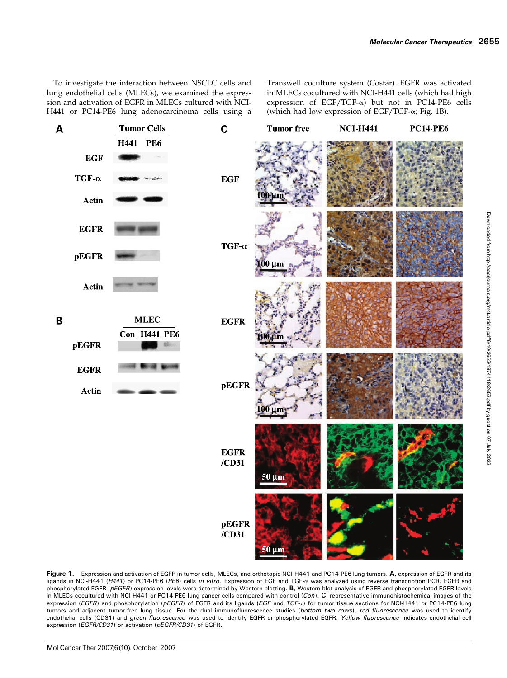To investigate the interaction between NSCLC cells and lung endothelial cells (MLECs), we examined the expression and activation of EGFR in MLECs cultured with NCI-H441 or PC14-PE6 lung adenocarcinoma cells using a Transwell coculture system (Costar). EGFR was activated in MLECs cocultured with NCI-H441 cells (which had high expression of EGF/TGF- $\alpha$ ) but not in PC14-PE6 cells (which had low expression of EGF/TGF- $\alpha$ ; Fig. 1B).



Figure 1. Expression and activation of EGFR in tumor cells, MLECs, and orthotopic NCI-H441 and PC14-PE6 lung tumors. A, expression of EGFR and its ligands in NCI-H441 (H441) or PC14-PE6 (PE6) cells in vitro. Expression of EGF and TGF-a was analyzed using reverse transcription PCR. EGFR and phosphorylated EGFR (pEGFR) expression levels were determined by Western blotting. B, Western blot analysis of EGFR and phosphorylated EGFR levels in MLECs cocultured with NCI-H441 or PC14-PE6 lung cancer cells compared with control (Con). C, representative immunohistochemical images of the expression (EGFR) and phosphorylation (pEGFR) of EGFR and its ligands (EGF and TGF-x) for tumor tissue sections for NCI-H441 or PC14-PE6 lung tumors and adjacent tumor-free lung tissue. For the dual immunofluorescence studies (bottom two rows), red fluorescence was used to identify endothelial cells (CD31) and green fluorescence was used to identify EGFR or phosphorylated EGFR. Yellow fluorescence indicates endothelial cell expression (EGFR/CD31) or activation (pEGFR/CD31) of EGFR.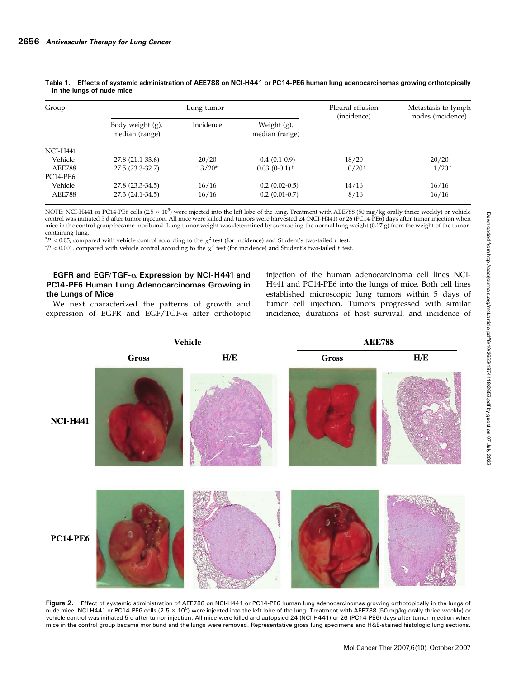| Group           |                                    | Lung tumor | Pleural effusion<br>(incidence)  | Metastasis to lymph<br>nodes (incidence) |            |
|-----------------|------------------------------------|------------|----------------------------------|------------------------------------------|------------|
|                 | Body weight (g),<br>median (range) | Incidence  | Weight $(g)$ ,<br>median (range) |                                          |            |
| <b>NCI-H441</b> |                                    |            |                                  |                                          |            |
| Vehicle         | 27.8 (21.1-33.6)                   | 20/20      | $0.4(0.1-0.9)$                   | 18/20                                    | 20/20      |
| <b>AEE788</b>   | 27.5 (23.3-32.7)                   | $13/20*$   | $0.03(0-0.1)$ <sup>+</sup>       | $0/20^{+}$                               | $1/20^{+}$ |
| PC14-PE6        |                                    |            |                                  |                                          |            |
| Vehicle         | 27.8 (23.3-34.5)                   | 16/16      | $0.2(0.02-0.5)$                  | 14/16                                    | 16/16      |
| <b>AEE788</b>   | 27.3 (24.1-34.5)                   | 16/16      | $0.2(0.01-0.7)$                  | 8/16                                     | 16/16      |

Table 1. Effects of systemic administration of AEE788 on NCI-H441 or PC14-PE6 human lung adenocarcinomas growing orthotopically in the lungs of nude mice

NOTE: NCI-H441 or PC14-PE6 cells  $(2.5 \times 10^5)$  were injected into the left lobe of the lung. Treatment with AEE788 (50 mg/kg orally thrice weekly) or vehicle control was initiated 5 d after tumor injection. All mice were killed and tumors were harvested 24 (NCI-H441) or 26 (PC14-PE6) days after tumor injection when mice in the control group became moribund. Lung tumor weight was determined by subtracting the normal lung weight  $(0.17 g)$  from the weight of the tumorcontaining lung.

 $*P < 0.05$ , compared with vehicle control according to the  $\chi^2$  test (for incidence) and Student's two-tailed t test.

 $tP < 0.001$ , compared with vehicle control according to the  $\chi^2$  test (for incidence) and Student's two-tailed t test.

#### EGFR and EGF/TGF- $\alpha$  Expression by NCI-H441 and PC14-PE6 Human Lung Adenocarcinomas Growing in the Lungs of Mice

We next characterized the patterns of growth and expression of EGFR and EGF/TGF- $\alpha$  after orthotopic injection of the human adenocarcinoma cell lines NCI-H441 and PC14-PE6 into the lungs of mice. Both cell lines established microscopic lung tumors within 5 days of tumor cell injection. Tumors progressed with similar incidence, durations of host survival, and incidence of



Figure 2. Effect of systemic administration of AEE788 on NCI-H441 or PC14-PE6 human lung adenocarcinomas growing orthotopically in the lungs of nude mice. NCI-H441 or PC14-PE6 cells (2.5  $\times$  10<sup>5</sup>) were injected into the left lobe of the lung. Treatment with AEE788 (50 mg/kg orally thrice weekly) or vehicle control was initiated 5 d after tumor injection. All mice were killed and autopsied 24 (NCI-H441) or 26 (PC14-PE6) days after tumor injection when mice in the control group became moribund and the lungs were removed. Representative gross lung specimens and H&E-stained histologic lung sections.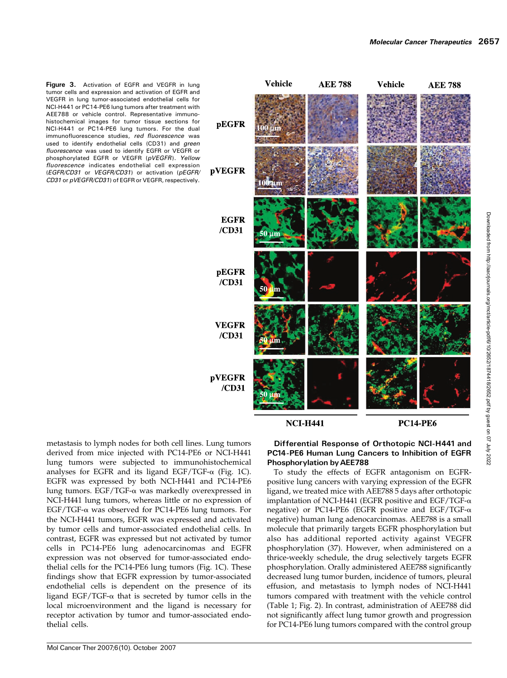

**NCI-H441** 

**PC14-PE6** 

metastasis to lymph nodes for both cell lines. Lung tumors derived from mice injected with PC14-PE6 or NCI-H441 lung tumors were subjected to immunohistochemical analyses for EGFR and its ligand EGF/TGF- $\alpha$  (Fig. 1C). EGFR was expressed by both NCI-H441 and PC14-PE6 lung tumors. EGF/TGF-a was markedly overexpressed in NCI-H441 lung tumors, whereas little or no expression of  $EGF/TGF-\alpha$  was observed for PC14-PE6 lung tumors. For the NCI-H441 tumors, EGFR was expressed and activated by tumor cells and tumor-associated endothelial cells. In contrast, EGFR was expressed but not activated by tumor cells in PC14-PE6 lung adenocarcinomas and EGFR expression was not observed for tumor-associated endothelial cells for the PC14-PE6 lung tumors (Fig. 1C). These findings show that EGFR expression by tumor-associated endothelial cells is dependent on the presence of its ligand EGF/TGF- $\alpha$  that is secreted by tumor cells in the local microenvironment and the ligand is necessary for receptor activation by tumor and tumor-associated endothelial cells.

Figure 3. Activation of EGFR and VEGFR in lung tumor cells and expression and activation of EGFR and VEGFR in lung tumor-associated endothelial cells for NCI-H441 or PC14-PE6 lung tumors after treatment with AEE788 or vehicle control. Representative immunohistochemical images for tumor tissue sections for NCI-H441 or PC14-PE6 lung tumors. For the dual immunofluorescence studies, red fluorescence was used to identify endothelial cells (CD31) and green fluorescence was used to identify EGFR or VEGFR or phosphorylated EGFR or VEGFR (pVEGFR). Yellow fluorescence indicates endothelial cell expression (EGFR/CD31 or VEGFR/CD31) or activation (pEGFR/ CD31 or pVEGFR/CD31) of EGFR or VEGFR, respectively.

#### Differential Response of Orthotopic NCI-H441 and PC14-PE6 Human Lung Cancers to Inhibition of EGFR Phosphorylation by AEE788

To study the effects of EGFR antagonism on EGFRpositive lung cancers with varying expression of the EGFR ligand, we treated mice with AEE788 5 days after orthotopic implantation of NCI-H441 (EGFR positive and EGF/TGF- $\alpha$ negative) or PC14-PE6 (EGFR positive and EGF/TGF- $\alpha$ negative) human lung adenocarcinomas. AEE788 is a small molecule that primarily targets EGFR phosphorylation but also has additional reported activity against VEGFR phosphorylation (37). However, when administered on a thrice-weekly schedule, the drug selectively targets EGFR phosphorylation. Orally administered AEE788 significantly decreased lung tumor burden, incidence of tumors, pleural effusion, and metastasis to lymph nodes of NCI-H441 tumors compared with treatment with the vehicle control (Table 1; Fig. 2). In contrast, administration of AEE788 did not significantly affect lung tumor growth and progression for PC14-PE6 lung tumors compared with the control group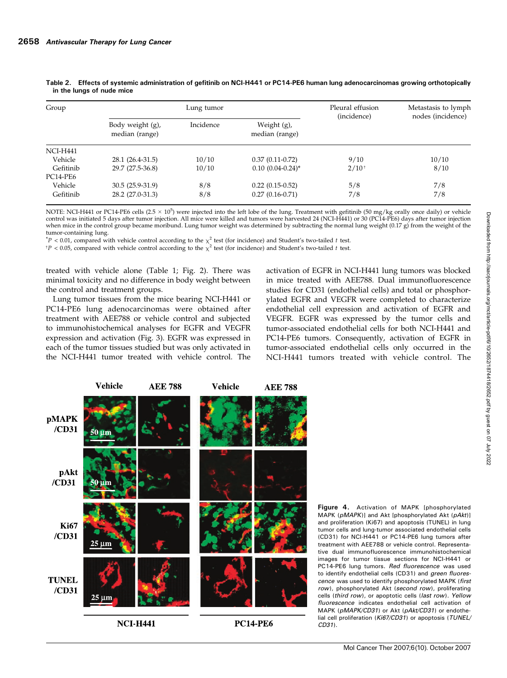| Group     |                                    | Lung tumor | Pleural effusion<br>(incidence)  | Metastasis to lymph<br>nodes (incidence) |       |
|-----------|------------------------------------|------------|----------------------------------|------------------------------------------|-------|
|           | Body weight (g),<br>median (range) | Incidence  | Weight $(g)$ ,<br>median (range) |                                          |       |
| NCI-H441  |                                    |            |                                  |                                          |       |
| Vehicle   | 28.1 (26.4-31.5)                   | 10/10      | $0.37(0.11-0.72)$                | 9/10                                     | 10/10 |
| Gefitinib | 29.7 (27.5-36.8)                   | 10/10      | $0.10(0.04-0.24)$ *              | $2/10^{+}$                               | 8/10  |
| PC14-PE6  |                                    |            |                                  |                                          |       |
| Vehicle   | 30.5 (25.9-31.9)                   | 8/8        | $0.22(0.15-0.52)$                | 5/8                                      | 7/8   |
| Gefitinib | 28.2 (27.0-31.3)                   | 8/8        | $0.27(0.16-0.71)$                | 7/8                                      | 7/8   |

Table 2. Effects of systemic administration of gefitinib on NCI-H441 or PC14-PE6 human lung adenocarcinomas growing orthotopically in the lungs of nude mice

NOTE: NCI-H441 or PC14-PE6 cells (2.5  $\times$  10<sup>5</sup>) were injected into the left lobe of the lung. Treatment with gefitinib (50 mg/kg orally once daily) or vehicle control was initiated 5 days after tumor injection. All mice were killed and tumors were harvested 24 (NCI-H441) or 30(PC14-PE6) days after tumor injection when mice in the control group became moribund. Lung tumor weight was determined by subtracting the normal lung weight (0.17 g) from the weight of the tumor-containing lung.

 $*P < 0.01$ , compared with vehicle control according to the  $\chi^2$  test (for incidence) and Student's two-tailed t test.

<sup>t</sup>P < 0.05, compared with vehicle control according to the  $\chi^2$  test (for incidence) and Student's two-tailed t test.

treated with vehicle alone (Table 1; Fig. 2). There was minimal toxicity and no difference in body weight between the control and treatment groups.

Lung tumor tissues from the mice bearing NCI-H441 or PC14-PE6 lung adenocarcinomas were obtained after treatment with AEE788 or vehicle control and subjected to immunohistochemical analyses for EGFR and VEGFR expression and activation (Fig. 3). EGFR was expressed in each of the tumor tissues studied but was only activated in the NCI-H441 tumor treated with vehicle control. The activation of EGFR in NCI-H441 lung tumors was blocked in mice treated with AEE788. Dual immunofluorescence studies for CD31 (endothelial cells) and total or phosphorylated EGFR and VEGFR were completed to characterize endothelial cell expression and activation of EGFR and VEGFR. EGFR was expressed by the tumor cells and tumor-associated endothelial cells for both NCI-H441 and PC14-PE6 tumors. Consequently, activation of EGFR in tumor-associated endothelial cells only occurred in the NCI-H441 tumors treated with vehicle control. The



Figure 4. Activation of MAPK [phosphorylated MAPK (pMAPK)] and Akt [phosphorylated Akt (pAkt)] and proliferation (Ki67) and apoptosis (TUNEL) in lung tumor cells and lung-tumor associated endothelial cells (CD31) for NCI-H441 or PC14-PE6 lung tumors after treatment with AEE788 or vehicle control. Representative dual immunofluorescence immunohistochemical images for tumor tissue sections for NCI-H441 or PC14-PE6 lung tumors. Red fluorescence was used to identify endothelial cells (CD31) and green fluorescence was used to identify phosphorylated MAPK (first row), phosphorylated Akt (second row), proliferating cells (third row), or apoptotic cells (last row). Yellow fluorescence indicates endothelial cell activation of MAPK (pMAPK/CD31) or Akt (pAkt/CD31) or endothelial cell proliferation (Ki67/CD31) or apoptosis (TUNEL/ CD31).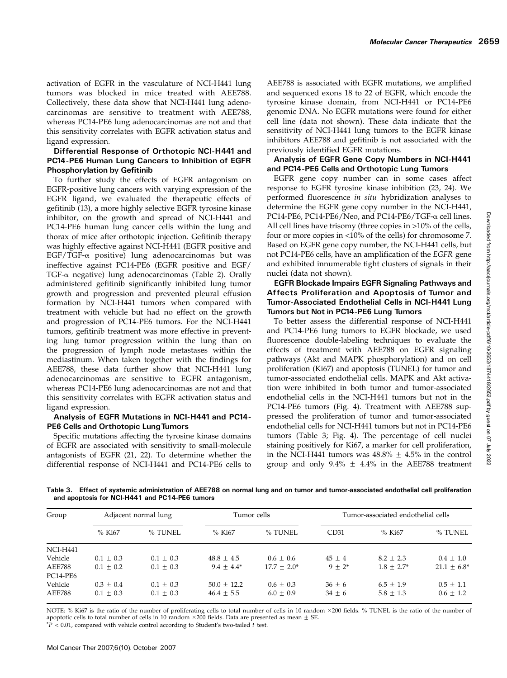activation of EGFR in the vasculature of NCI-H441 lung tumors was blocked in mice treated with AEE788. Collectively, these data show that NCI-H441 lung adenocarcinomas are sensitive to treatment with AEE788, whereas PC14-PE6 lung adenocarcinomas are not and that this sensitivity correlates with EGFR activation status and ligand expression.

#### Differential Response of Orthotopic NCI-H441 and PC14-PE6 Human Lung Cancers to Inhibition of EGFR Phosphorylation by Gefitinib

To further study the effects of EGFR antagonism on EGFR-positive lung cancers with varying expression of the EGFR ligand, we evaluated the therapeutic effects of gefitinib (13), a more highly selective EGFR tyrosine kinase inhibitor, on the growth and spread of NCI-H441 and PC14-PE6 human lung cancer cells within the lung and thorax of mice after orthotopic injection. Gefitinib therapy was highly effective against NCI-H441 (EGFR positive and  $EGF/TGF- $\alpha$  positive) lung adenocarcinomas but was$ ineffective against PC14-PE6 (EGFR positive and EGF/ TGF- $\alpha$  negative) lung adenocarcinomas (Table 2). Orally administered gefitinib significantly inhibited lung tumor growth and progression and prevented pleural effusion formation by NCI-H441 tumors when compared with treatment with vehicle but had no effect on the growth and progression of PC14-PE6 tumors. For the NCI-H441 tumors, gefitinib treatment was more effective in preventing lung tumor progression within the lung than on the progression of lymph node metastases within the mediastinum. When taken together with the findings for AEE788, these data further show that NCI-H441 lung adenocarcinomas are sensitive to EGFR antagonism, whereas PC14-PE6 lung adenocarcinomas are not and that this sensitivity correlates with EGFR activation status and ligand expression.

#### Analysis of EGFR Mutations in NCI-H441 and PC14- PE6 Cells and Orthotopic Lung Tumors

Specific mutations affecting the tyrosine kinase domains of EGFR are associated with sensitivity to small-molecule antagonists of EGFR (21, 22). To determine whether the differential response of NCI-H441 and PC14-PE6 cells to AEE788 is associated with EGFR mutations, we amplified and sequenced exons 18 to 22 of EGFR, which encode the tyrosine kinase domain, from NCI-H441 or PC14-PE6 genomic DNA. No EGFR mutations were found for either cell line (data not shown). These data indicate that the sensitivity of NCI-H441 lung tumors to the EGFR kinase inhibitors AEE788 and gefitinib is not associated with the previously identified EGFR mutations.

#### Analysis of EGFR Gene Copy Numbers in NCI-H441 and PC14-PE6 Cells and Orthotopic Lung Tumors

EGFR gene copy number can in some cases affect response to EGFR tyrosine kinase inhibition (23, 24). We performed fluorescence in situ hybridization analyses to determine the EGFR gene copy number in the NCI-H441, PC14-PE6, PC14-PE6/Neo, and PC14-PE6/TGF-α cell lines. All cell lines have trisomy (three copies in >10% of the cells, four or more copies in <10% of the cells) for chromosome 7. Based on EGFR gene copy number, the NCI-H441 cells, but not PC14-PE6 cells, have an amplification of the EGFR gene and exhibited innumerable tight clusters of signals in their nuclei (data not shown).

#### EGFR Blockade Impairs EGFR Signaling Pathways and Affects Proliferation and Apoptosis of Tumor and Tumor-Associated Endothelial Cells in NCI-H441 Lung Tumors but Not in PC14-PE6 Lung Tumors

To better assess the differential response of NCI-H441 and PC14-PE6 lung tumors to EGFR blockade, we used fluorescence double-labeling techniques to evaluate the effects of treatment with AEE788 on EGFR signaling pathways (Akt and MAPK phosphorylation) and on cell proliferation (Ki67) and apoptosis (TUNEL) for tumor and tumor-associated endothelial cells. MAPK and Akt activation were inhibited in both tumor and tumor-associated endothelial cells in the NCI-H441 tumors but not in the PC14-PE6 tumors (Fig. 4). Treatment with AEE788 suppressed the proliferation of tumor and tumor-associated endothelial cells for NCI-H441 tumors but not in PC14-PE6 tumors (Table 3; Fig. 4). The percentage of cell nuclei staining positively for Ki67, a marker for cell proliferation, in the NCI-H441 tumors was  $48.8\% \pm 4.5\%$  in the control group and only  $9.4\% \pm 4.4\%$  in the AEE788 treatment

Table 3. Effect of systemic administration of AEE788 on normal lung and on tumor and tumor-associated endothelial cell proliferation and apoptosis for NCI-H441 and PC14-PE6 tumors

| Group           | Adjacent normal lung |             | Tumor cells   |               | Tumor-associated endothelial cells |               |               |
|-----------------|----------------------|-------------|---------------|---------------|------------------------------------|---------------|---------------|
|                 | $%$ Ki67             | % TUNEL     | $%$ Ki67      | % TUNEL       | CD31                               | % Ki67        | % TUNEL       |
| <b>NCI-H441</b> |                      |             |               |               |                                    |               |               |
| Vehicle         | $0.1 + 0.3$          | $0.1 + 0.3$ | $48.8 + 4.5$  | $0.6 + 0.6$   | $45 + 4$                           | $8.2 + 2.3$   | $0.4 + 1.0$   |
| <b>AEE788</b>   | $0.1 + 0.2$          | $0.1 + 0.3$ | $9.4 + 4.4*$  | $17.7 + 2.0*$ | $9 + 2^*$                          | $1.8 + 2.7^*$ | $21.1 + 6.8*$ |
| PC14-PE6        |                      |             |               |               |                                    |               |               |
| Vehicle         | $0.3 + 0.4$          | $0.1 + 0.3$ | $50.0 + 12.2$ | $0.6 + 0.3$   | $36 + 6$                           | $6.5 + 1.9$   | $0.5 + 1.1$   |
| <b>AEE788</b>   | $0.1 \pm 0.3$        | $0.1 + 0.3$ | $46.4 + 5.5$  | $6.0 + 0.9$   | $34 + 6$                           | $5.8 + 1.3$   | $0.6 \pm 1.2$ |

NOTE: % Ki67 is the ratio of the number of proliferating cells to total number of cells in 10 random ×200 fields. % TUNEL is the ratio of the number of apoptotic cells to total number of cells in 10 random  $\times$ 200 fields. Data are presented as mean + SE.

 $*P$  < 0.01, compared with vehicle control according to Student's two-tailed t test.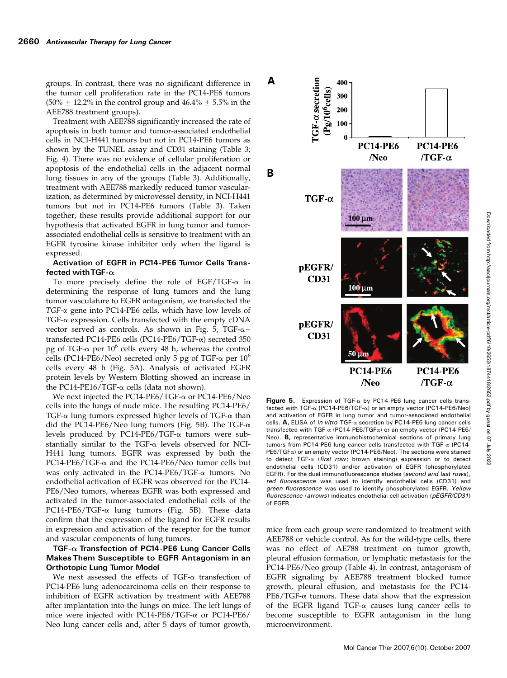groups. In contrast, there was no significant difference in the tumor cell proliferation rate in the PC14-PE6 tumors (50%  $\pm$  12.2% in the control group and 46.4%  $\pm$  5.5% in the AEE788 treatment groups).

Treatment with AEE788 significantly increased the rate of apoptosis in both tumor and tumor-associated endothelial cells in NCI-H441 tumors but not in PC14-PE6 tumors as shown by the TUNEL assay and CD31 staining (Table 3; Fig. 4). There was no evidence of cellular proliferation or apoptosis of the endothelial cells in the adjacent normal lung tissues in any of the groups (Table 3). Additionally, treatment with AEE788 markedly reduced tumor vascularization, as determined by microvessel density, in NCI-H441 tumors but not in PC14-PE6 tumors (Table 3). Taken together, these results provide additional support for our hypothesis that activated EGFR in lung tumor and tumorassociated endothelial cells is sensitive to treatment with an EGFR tyrosine kinase inhibitor only when the ligand is expressed.

#### Activation of EGFR in PC14-PE6 Tumor Cells Transfected with TGF- $\alpha$

To more precisely define the role of EGF/TGF- $\alpha$  in determining the response of lung tumors and the lung tumor vasculature to EGFR antagonism, we transfected the TGF-a gene into PC14-PE6 cells, which have low levels of  $TGF-\alpha$  expression. Cells transfected with the empty cDNA vector served as controls. As shown in Fig. 5, TGF- $\alpha$ transfected PC14-PE6 cells (PC14-PE6/TGF-a) secreted 350 pg of TGF- $\alpha$  per 10<sup>6</sup> cells every 48 h, whereas the control cells (PC14-PE6/Neo) secreted only 5 pg of TGF- $\alpha$  per 10<sup>6</sup> cells every 48 h (Fig. 5A). Analysis of activated EGFR protein levels by Western Blotting showed an increase in the PC14-PE16/TGF- $\alpha$  cells (data not shown).

We next injected the PC14-PE6/TGF- $\alpha$  or PC14-PE6/Neo cells into the lungs of nude mice. The resulting PC14-PE6/ TGF- $\alpha$  lung tumors expressed higher levels of TGF- $\alpha$  than did the PC14-PE6/Neo lung tumors (Fig. 5B). The TGF- $\alpha$ levels produced by PC14-PE6/TGF-a tumors were substantially similar to the TGF- $\alpha$  levels observed for NCI-H441 lung tumors. EGFR was expressed by both the PC14-PE6/TGF- $\alpha$  and the PC14-PE6/Neo tumor cells but was only activated in the PC14-PE6/TGF- $\alpha$  tumors. No endothelial activation of EGFR was observed for the PC14- PE6/Neo tumors, whereas EGFR was both expressed and activated in the tumor-associated endothelial cells of the PC14-PE6/TGF- $\alpha$  lung tumors (Fig. 5B). These data confirm that the expression of the ligand for EGFR results in expression and activation of the receptor for the tumor and vascular components of lung tumors.

#### TGF- $\alpha$  Transfection of PC14-PE6 Lung Cancer Cells Makes Them Susceptible to EGFR Antagonism in an Orthotopic Lung Tumor Model

We next assessed the effects of TGF- $\alpha$  transfection of PC14-PE6 lung adenocarcinoma cells on their response to inhibition of EGFR activation by treatment with AEE788 after implantation into the lungs on mice. The left lungs of mice were injected with PC14-PE6/TGF-a or PC14-PE6/ Neo lung cancer cells and, after 5 days of tumor growth,



Figure 5. Expression of TGF- $\alpha$  by PC14-PE6 lung cancer cells transfected with TGF-a (PC14-PE6/TGF-a) or an empty vector (PC14-PE6/Neo) and activation of EGFR in lung tumor and tumor-associated endothelial cells. A, ELISA of in vitro TGF- $\alpha$  secretion by PC14-PE6 lung cancer cells transfected with TGF- $\alpha$  (PC14-PE6/TGF $\alpha$ ) or an empty vector (PC14-PE6/ Neo). B, representative immunohistochemical sections of primary lung tumors from PC14-PE6 lung cancer cells transfected with TGF- $\alpha$  (PC14- $PE6/TGF<sub>\alpha</sub>$ ) or an empty vector (PC14-PE6/Neo). The sections were stained to detect TGF- $\alpha$  (first row; brown staining) expression or to detect endothelial cells (CD31) and/or activation of EGFR (phosphorylated EGFR). For the dual immunofluorescence studies (second and last rows), red fluorescence was used to identify endothelial cells (CD31) and green fluorescence was used to identify phosphorylated EGFR. Yellow fluorescence (arrows) indicates endothelial cell activation (pEGFR/CD31) of EGFR.

mice from each group were randomized to treatment with AEE788 or vehicle control. As for the wild-type cells, there was no effect of AE788 treatment on tumor growth, pleural effusion formation, or lymphatic metastasis for the PC14-PE6/Neo group (Table 4). In contrast, antagonism of EGFR signaling by AEE788 treatment blocked tumor growth, pleural effusion, and metastasis for the PC14-  $PE6/TGF-<sub>α</sub>$  tumors. These data show that the expression of the EGFR ligand TGF- $\alpha$  causes lung cancer cells to become susceptible to EGFR antagonism in the lung microenvironment.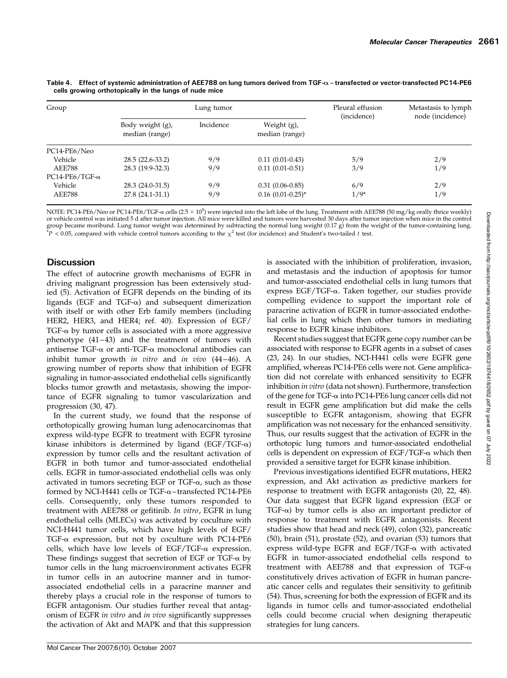| Group                 |                                    | Lung tumor | Pleural effusion<br>(incidence)  | Metastasis to lymph<br>node (incidence) |     |
|-----------------------|------------------------------------|------------|----------------------------------|-----------------------------------------|-----|
|                       | Body weight (g),<br>median (range) | Incidence  | Weight $(g)$ ,<br>median (range) |                                         |     |
| PC14-PE6/Neo          |                                    |            |                                  |                                         |     |
| Vehicle               | 28.5 (22.6-33.2)                   | 9/9        | $0.11(0.01-0.43)$                | 5/9                                     | 2/9 |
| <b>AEE788</b>         | 28.3 (19.9-32.3)                   | 9/9        | $0.11(0.01-0.51)$                | 3/9                                     | 1/9 |
| $PC14-PE6/TGF-\alpha$ |                                    |            |                                  |                                         |     |
| Vehicle               | 28.3 (24.0-31.5)                   | 9/9        | $0.31(0.06-0.85)$                | 6/9                                     | 2/9 |
| <b>AEE788</b>         | 27.8 (24.1-31.1)                   | 9/9        | $0.16$ $(0.01 - 0.25)^*$         | $1/9*$                                  | 1/9 |

Table 4. Effect of systemic administration of AEE788 on lung tumors derived from TGF- $\alpha$  – transfected or vector-transfected PC14-PE6 cells growing orthotopically in the lungs of nude mice

NOTE: PC14-PE6/Neo or PC14-PE6/TGF-a cells (2.5  $\times$  10<sup>5</sup>) were injected into the left lobe of the lung. Treatment with AEE788 (50 mg/kg orally thrice weekly) or vehicle control was initiated 5 d after tumor injection. All mice were killed and tumors were harvested 30days after tumor injection when mice in the control group became moribund. Lung tumor weight was determined by subtracting the normal lung weight (0.17 g) from the weight of the tumor-containing lung.  $*P < 0.05$ , compared with vehicle control tumors according to the  $\chi^2$  test (for incidence) and Student's two-tailed t test.

# **Discussion**

The effect of autocrine growth mechanisms of EGFR in driving malignant progression has been extensively studied (5). Activation of EGFR depends on the binding of its ligands (EGF and TGF- $\alpha$ ) and subsequent dimerization with itself or with other Erb family members (including HER2, HER3, and HER4; ref. 40). Expression of EGF/ TGF- $\alpha$  by tumor cells is associated with a more aggressive phenotype  $(41-43)$  and the treatment of tumors with antisense TGF- $\alpha$  or anti-TGF- $\alpha$  monoclonal antibodies can inhibit tumor growth in vitro and in vivo  $(44-46)$ . A growing number of reports show that inhibition of EGFR signaling in tumor-associated endothelial cells significantly blocks tumor growth and metastasis, showing the importance of EGFR signaling to tumor vascularization and progression (30, 47).

In the current study, we found that the response of orthotopically growing human lung adenocarcinomas that express wild-type EGFR to treatment with EGFR tyrosine kinase inhibitors is determined by ligand (EGF/TGF- $\alpha$ ) expression by tumor cells and the resultant activation of EGFR in both tumor and tumor-associated endothelial cells. EGFR in tumor-associated endothelial cells was only activated in tumors secreting EGF or TGF- $\alpha$ , such as those formed by NCI-H441 cells or TGF- $\alpha$ –transfected PC14-PE6 cells. Consequently, only these tumors responded to treatment with AEE788 or gefitinib. In vitro, EGFR in lung endothelial cells (MLECs) was activated by coculture with NCI-H441 tumor cells, which have high levels of EGF/ TGF- $\alpha$  expression, but not by coculture with PC14-PE6 cells, which have low levels of EGF/TGF- $\alpha$  expression. These findings suggest that secretion of EGF or TGF- $\alpha$  by tumor cells in the lung microenvironment activates EGFR in tumor cells in an autocrine manner and in tumorassociated endothelial cells in a paracrine manner and thereby plays a crucial role in the response of tumors to EGFR antagonism. Our studies further reveal that antagonism of EGFR in vitro and in vivo significantly suppresses the activation of Akt and MAPK and that this suppression is associated with the inhibition of proliferation, invasion, and metastasis and the induction of apoptosis for tumor and tumor-associated endothelial cells in lung tumors that express EGF/TGF-a. Taken together, our studies provide compelling evidence to support the important role of paracrine activation of EGFR in tumor-associated endothelial cells in lung which then other tumors in mediating response to EGFR kinase inhibitors.

Recent studies suggest that EGFR gene copy number can be associated with response to EGFR agents in a subset of cases (23, 24). In our studies, NCI-H441 cells were EGFR gene amplified, whereas PC14-PE6 cells were not. Gene amplification did not correlate with enhanced sensitivity to EGFR inhibition in vitro (data not shown). Furthermore, transfection of the gene for TGF-a into PC14-PE6 lung cancer cells did not result in EGFR gene amplification but did make the cells susceptible to EGFR antagonism, showing that EGFR amplification was not necessary for the enhanced sensitivity. Thus, our results suggest that the activation of EGFR in the orthotopic lung tumors and tumor-associated endothelial cells is dependent on expression of  $EGF/TGF-\alpha$  which then provided a sensitive target for EGFR kinase inhibition.

Previous investigations identified EGFR mutations, HER2 expression, and Akt activation as predictive markers for response to treatment with EGFR antagonists (20, 22, 48). Our data suggest that EGFR ligand expression (EGF or TGF- $\alpha$ ) by tumor cells is also an important predictor of response to treatment with EGFR antagonists. Recent studies show that head and neck (49), colon (32), pancreatic (50), brain (51), prostate (52), and ovarian (53) tumors that express wild-type EGFR and  $EGF/TGF-\alpha$  with activated EGFR in tumor-associated endothelial cells respond to treatment with AEE788 and that expression of TGF- $\alpha$ constitutively drives activation of EGFR in human pancreatic cancer cells and regulates their sensitivity to gefitinib (54). Thus, screening for both the expression of EGFR and its ligands in tumor cells and tumor-associated endothelial cells could become crucial when designing therapeutic strategies for lung cancers.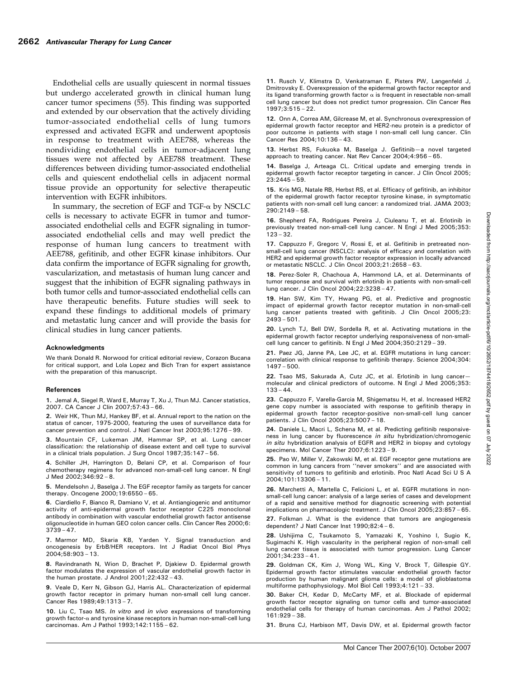Endothelial cells are usually quiescent in normal tissues but undergo accelerated growth in clinical human lung cancer tumor specimens (55). This finding was supported and extended by our observation that the actively dividing tumor-associated endothelial cells of lung tumors expressed and activated EGFR and underwent apoptosis in response to treatment with AEE788, whereas the nondividing endothelial cells in tumor-adjacent lung tissues were not affected by AEE788 treatment. These differences between dividing tumor-associated endothelial cells and quiescent endothelial cells in adjacent normal tissue provide an opportunity for selective therapeutic intervention with EGFR inhibitors.

In summary, the secretion of EGF and TGF- $\alpha$  by NSCLC cells is necessary to activate EGFR in tumor and tumorassociated endothelial cells and EGFR signaling in tumorassociated endothelial cells and may well predict the response of human lung cancers to treatment with AEE788, gefitinib, and other EGFR kinase inhibitors. Our data confirm the importance of EGFR signaling for growth, vascularization, and metastasis of human lung cancer and suggest that the inhibition of EGFR signaling pathways in both tumor cells and tumor-associated endothelial cells can have therapeutic benefits. Future studies will seek to expand these findings to additional models of primary and metastatic lung cancer and will provide the basis for clinical studies in lung cancer patients.

#### Acknowledgments

We thank Donald R. Norwood for critical editorial review, Corazon Bucana for critical support, and Lola Lopez and Bich Tran for expert assistance with the preparation of this manuscript.

#### References

1. Jemal A, Siegel R, Ward E, Murray T, Xu J, Thun MJ. Cancer statistics, 2007. CA Cancer J Clin 2007;57:43 – 66.

2. Weir HK, Thun MJ, Hankey BF, et al. Annual report to the nation on the status of cancer, 1975-2000, featuring the uses of surveillance data for cancer prevention and control. J Natl Cancer Inst 2003;95:1276 – 99.

3. Mountain CF, Lukeman JM, Hammar SP, et al. Lung cancer classification: the relationship of disease extent and cell type to survival in a clinical trials population. J Surg Oncol 1987;35:147 – 56.

4. Schiller JH, Harrington D, Belani CP, et al. Comparison of four chemotherapy regimens for advanced non-small-cell lung cancer. N Engl J Med 2002;346:92 – 8.

5. Mendelsohn J, Baselga J. The EGF receptor family as targets for cancer therapy. Oncogene 2000;19:6550 – 65.

6. Ciardiello F, Bianco R, Damiano V, et al. Antiangiogenic and antitumor activity of anti-epidermal growth factor receptor C225 monoclonal antibody in combination with vascular endothelial growth factor antisense oligonucleotide in human GEO colon cancer cells. Clin Cancer Res 2000;6: 3739 – 47.

7. Marmor MD, Skaria KB, Yarden Y. Signal transduction and oncogenesis by ErbB/HER receptors. Int J Radiat Oncol Biol Phys 2004;58:903 – 13.

8. Ravindranath N, Wion D, Brachet P, Djakiew D. Epidermal growth factor modulates the expression of vascular endothelial growth factor in the human prostate. J Androl 2001;22:432 – 43.

9. Veale D, Kerr N, Gibson GJ, Harris AL. Characterization of epidermal growth factor receptor in primary human non-small cell lung cancer. Cancer Res 1989;49:1313 – 7.

10. Liu C, Tsao MS. In vitro and in vivo expressions of transforming growth factor-a and tyrosine kinase receptors in human non-small-cell lung carcinomas. Am J Pathol 1993;142:1155 – 62.

11. Rusch V, Klimstra D, Venkatraman E, Pisters PW, Langenfeld J, Dmitrovsky E. Overexpression of the epidermal growth factor receptor and its ligand transforming growth factor  $\alpha$  is frequent in resectable non-small cell lung cancer but does not predict tumor progression. Clin Cancer Res 1997;3:515 – 22.

12. Onn A, Correa AM, Gilcrease M, et al. Synchronous overexpression of epidermal growth factor receptor and HER2-neu protein is a predictor of poor outcome in patients with stage I non-small cell lung cancer. Clin Cancer Res 2004;10:136 – 43.

13. Herbst RS, Fukuoka M, Baselga J. Gefitinib—a novel targeted approach to treating cancer. Nat Rev Cancer 2004;4:956 – 65.

14. Baselga J, Arteaga CL. Critical update and emerging trends in epidermal growth factor receptor targeting in cancer. J Clin Oncol 2005; 23:2445 – 59.

15. Kris MG, Natale RB, Herbst RS, et al. Efficacy of gefitinib, an inhibitor of the epidermal growth factor receptor tyrosine kinase, in symptomatic patients with non-small cell lung cancer: a randomized trial. JAMA 2003; 290:2149 – 58.

16. Shepherd FA, Rodrigues Pereira J, Ciuleanu T, et al. Erlotinib in previously treated non-small-cell lung cancer. N Engl J Med 2005;353: 123 – 32.

17. Cappuzzo F, Gregorc V, Rossi E, et al. Gefitinib in pretreated nonsmall-cell lung cancer (NSCLC): analysis of efficacy and correlation with HER2 and epidermal growth factor receptor expression in locally advanced or metastatic NSCLC. J Clin Oncol 2003;21:2658 – 63.

18. Perez-Soler R, Chachoua A, Hammond LA, et al. Determinants of tumor response and survival with erlotinib in patients with non-small-cell lung cancer. J Clin Oncol 2004;22:3238 – 47.

19. Han SW, KimTY, Hwang PG, et al. Predictive and prognostic impact of epidermal growth factor receptor mutation in non-small-cell lung cancer patients treated with gefitinib. J Clin Oncol 2005;23: 2493 – 501.

20. Lynch TJ, Bell DW, Sordella R, et al. Activating mutations in the epidermal growth factor receptor underlying responsiveness of non-smallcell lung cancer to gefitinib. N Engl J Med 2004;350:2129 – 39.

21. Paez JG, Janne PA, Lee JC, et al. EGFR mutations in lung cancer: correlation with clinical response to gefitinib therapy. Science 2004;304: 1497 – 500.

22. Tsao MS, Sakurada A, Cutz JC, et al. Erlotinib in lung cancer molecular and clinical predictors of outcome. N Engl J Med 2005;353:  $133 - 44.$ 

23. Cappuzzo F, Varella-Garcia M, Shigematsu H, et al. Increased HER2 gene copy number is associated with response to gefitinib therapy in epidermal growth factor receptor-positive non-small-cell lung cancer patients. J Clin Oncol 2005;23:5007 – 18.

24. Daniele L, Macri L, Schena M, et al. Predicting gefitinib responsiveness in lung cancer by fluorescence in situ hybridization/chromogenic in situ hybridization analysis of EGFR and HER2 in biopsy and cytology specimens. Mol Cancer Ther 2007;6:1223 – 9.

25. Pao W, Miller V, Zakowski M, et al. EGF receptor gene mutations are common in lung cancers from ''never smokers'' and are associated with sensitivity of tumors to gefitinib and erlotinib. Proc Natl Acad Sci U S A 2004;101:13306 – 11.

26. Marchetti A, Martella C, Felicioni L, et al. EGFR mutations in nonsmall-cell lung cancer: analysis of a large series of cases and development of a rapid and sensitive method for diagnostic screening with potential implications on pharmacologic treatment. J Clin Oncol 2005;23:857 – 65.

27. Folkman J. What is the evidence that tumors are angiogenesis dependent? J Natl Cancer Inst 1990;82:4 – 6.

28. Ushijima C, Tsukamoto S, Yamazaki K, Yoshino I, Sugio K, Sugimachi K. High vascularity in the peripheral region of non-small cell lung cancer tissue is associated with tumor progression. Lung Cancer 2001;34:233 – 41.

29. Goldman CK, Kim J, Wong WL, King V, Brock T, Gillespie GY. Epidermal growth factor stimulates vascular endothelial growth factor production by human malignant glioma cells: a model of glioblastoma multiforme pathophysiology. Mol Biol Cell 1993;4:121 – 33.

30. Baker CH, Kedar D, McCarty MF, et al. Blockade of epidermal growth factor receptor signaling on tumor cells and tumor-associated endothelial cells for therapy of human carcinomas. Am J Pathol 2002; 161:929 – 38.

31. Bruns CJ, Harbison MT, Davis DW, et al. Epidermal growth factor